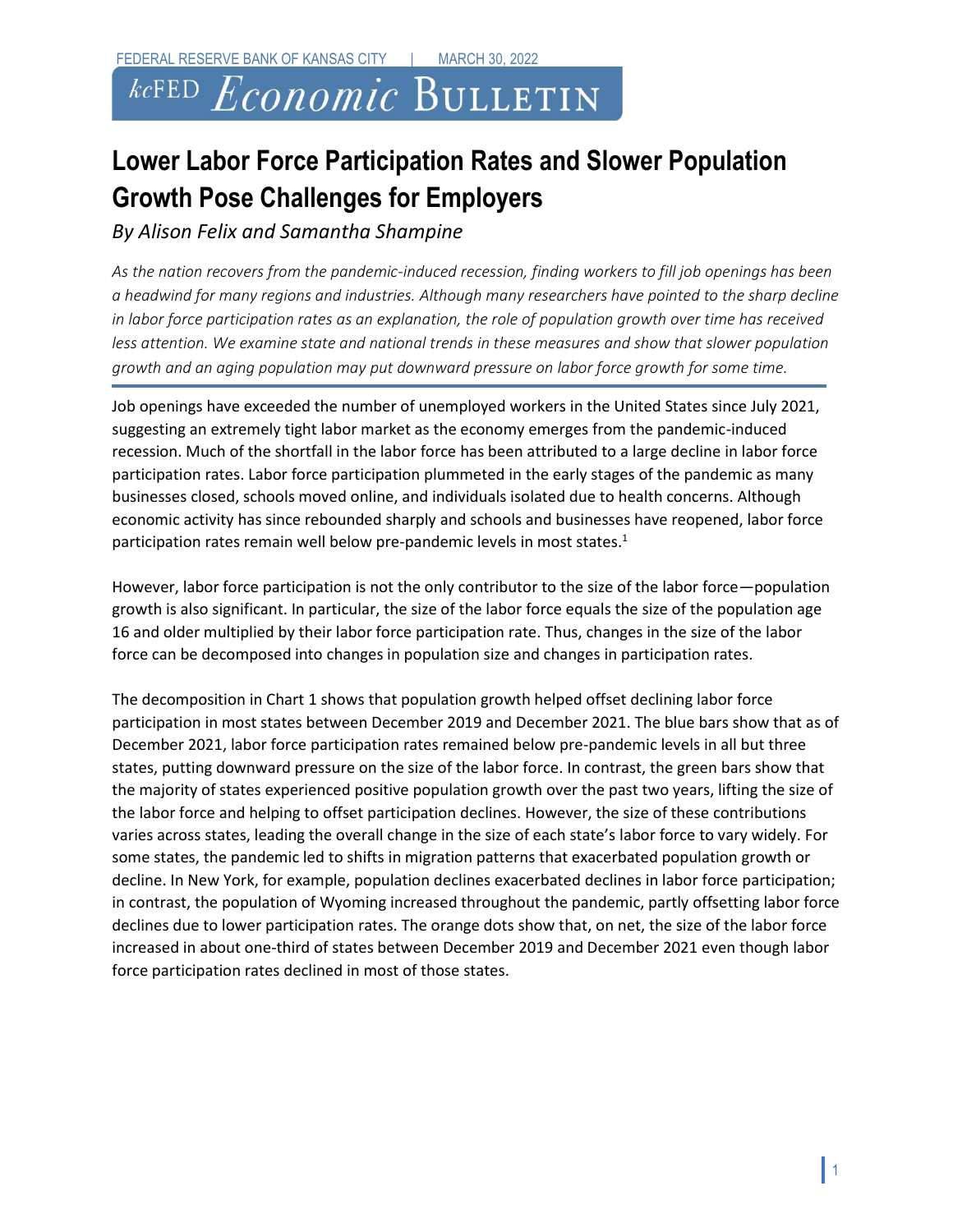## *kc*FED  $E$ conomic Bulletin

## **Lower Labor Force Participation Rates and Slower Population Growth Pose Challenges for Employers**

*By Alison Felix and Samantha Shampine*

*As the nation recovers from the pandemic-induced recession, finding workers to fill job openings has been a headwind for many regions and industries. Although many researchers have pointed to the sharp decline in labor force participation rates as an explanation, the role of population growth over time has received less attention. We examine state and national trends in these measures and show that slower population growth and an aging population may put downward pressure on labor force growth for some time.*

Job openings have exceeded the number of unemployed workers in the United States since July 2021, suggesting an extremely tight labor market as the economy emerges from the pandemic-induced recession. Much of the shortfall in the labor force has been attributed to a large decline in labor force participation rates. Labor force participation plummeted in the early stages of the pandemic as many businesses closed, schools moved online, and individuals isolated due to health concerns. Although economic activity has since rebounded sharply and schools and businesses have reopened, labor force participation rates remain well below pre-pandemic levels in most states.<sup>1</sup>

However, labor force participation is not the only contributor to the size of the labor force—population growth is also significant. In particular, the size of the labor force equals the size of the population age 16 and older multiplied by their labor force participation rate. Thus, changes in the size of the labor force can be decomposed into changes in population size and changes in participation rates.

The decomposition in Chart 1 shows that population growth helped offset declining labor force participation in most states between December 2019 and December 2021. The blue bars show that as of December 2021, labor force participation rates remained below pre-pandemic levels in all but three states, putting downward pressure on the size of the labor force. In contrast, the green bars show that the majority of states experienced positive population growth over the past two years, lifting the size of the labor force and helping to offset participation declines. However, the size of these contributions varies across states, leading the overall change in the size of each state's labor force to vary widely. For some states, the pandemic led to shifts in migration patterns that exacerbated population growth or decline. In New York, for example, population declines exacerbated declines in labor force participation; in contrast, the population of Wyoming increased throughout the pandemic, partly offsetting labor force declines due to lower participation rates. The orange dots show that, on net, the size of the labor force increased in about one-third of states between December 2019 and December 2021 even though labor force participation rates declined in most of those states.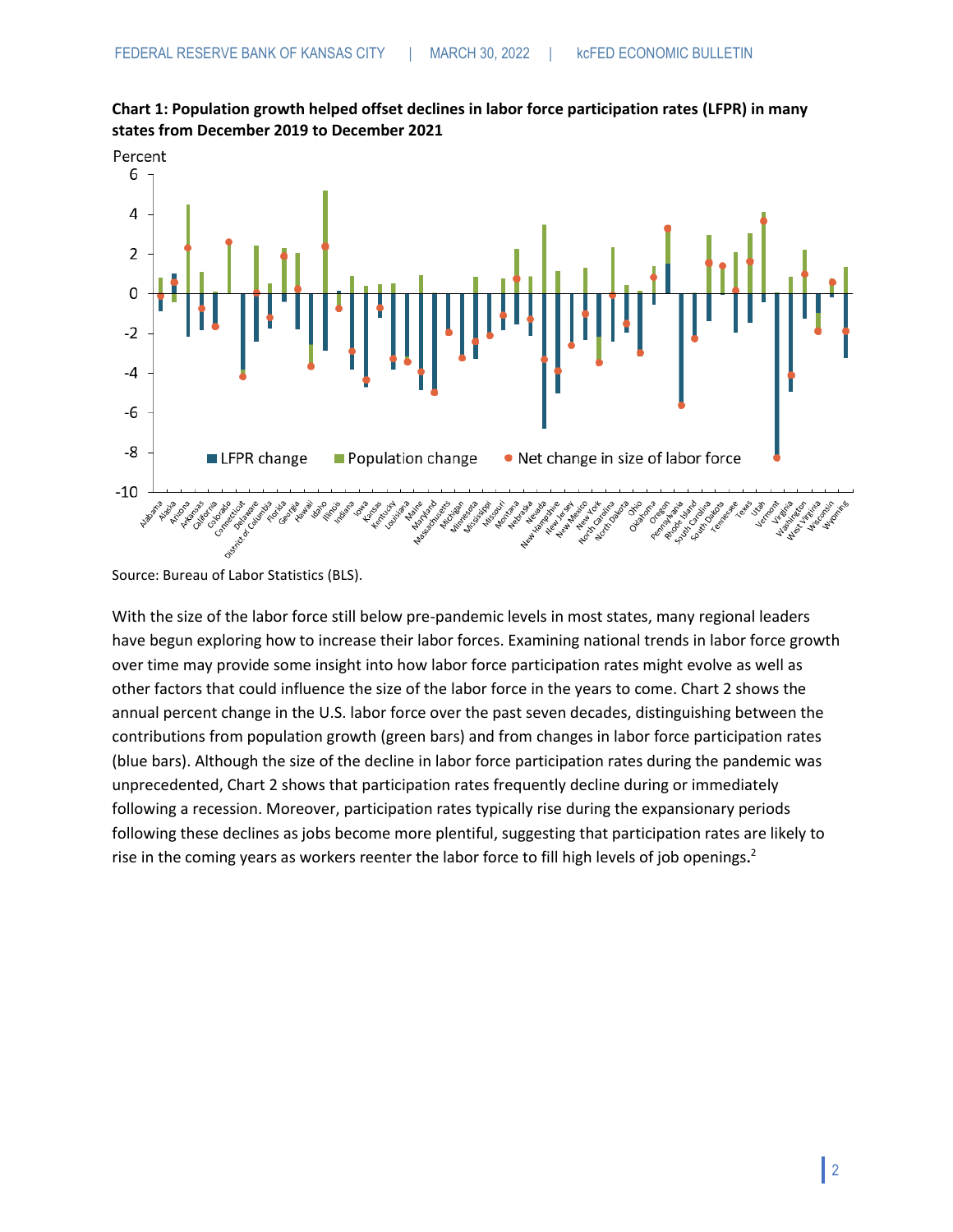



Source: Bureau of Labor Statistics (BLS).

With the size of the labor force still below pre-pandemic levels in most states, many regional leaders have begun exploring how to increase their labor forces. Examining national trends in labor force growth over time may provide some insight into how labor force participation rates might evolve as well as other factors that could influence the size of the labor force in the years to come. Chart 2 shows the annual percent change in the U.S. labor force over the past seven decades, distinguishing between the contributions from population growth (green bars) and from changes in labor force participation rates (blue bars). Although the size of the decline in labor force participation rates during the pandemic was unprecedented, Chart 2 shows that participation rates frequently decline during or immediately following a recession. Moreover, participation rates typically rise during the expansionary periods following these declines as jobs become more plentiful, suggesting that participation rates are likely to rise in the coming years as workers reenter the labor force to fill high levels of job openings**.** 2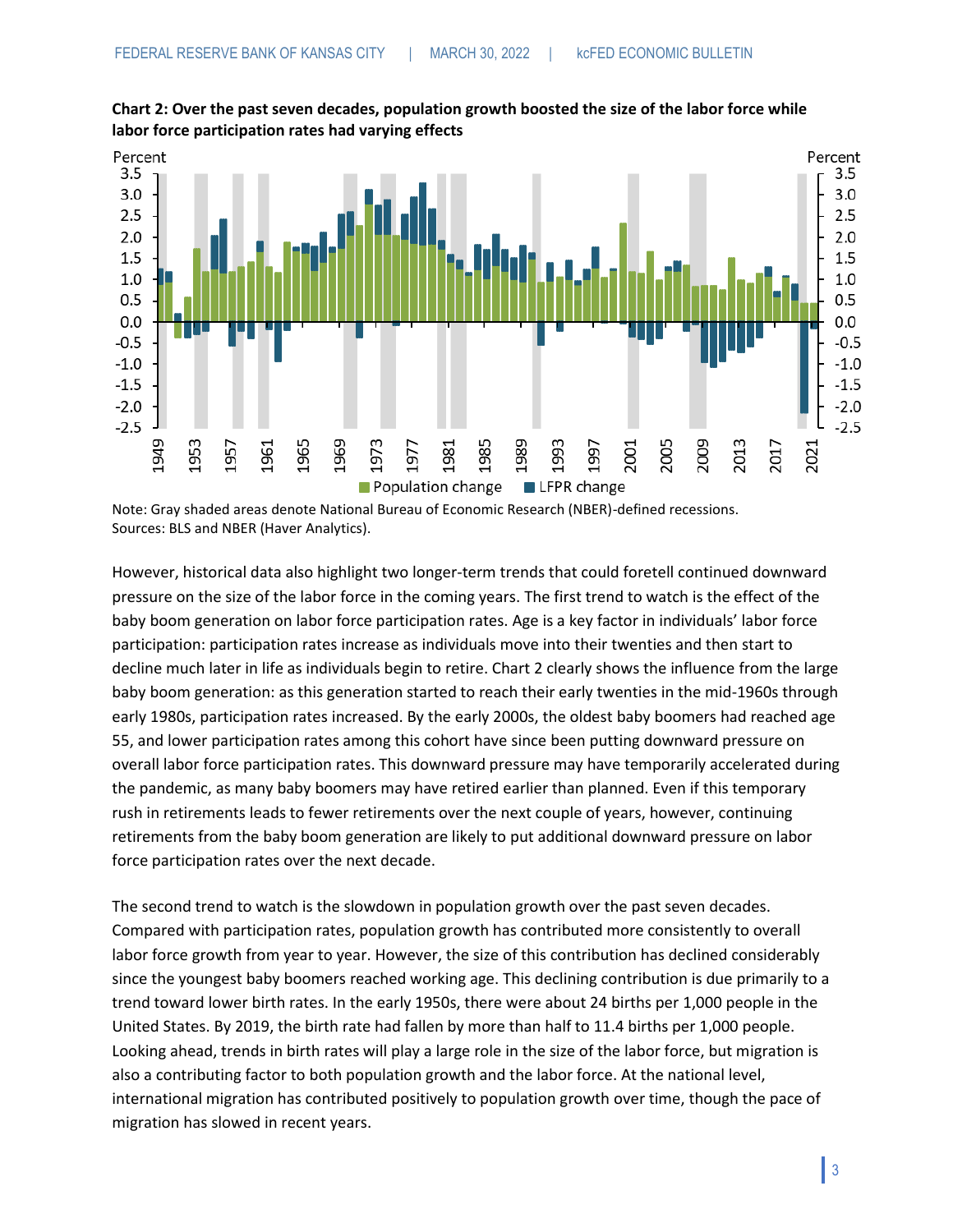

**Chart 2: Over the past seven decades, population growth boosted the size of the labor force while labor force participation rates had varying effects** 

Note: Gray shaded areas denote National Bureau of Economic Research (NBER)-defined recessions. Sources: BLS and NBER (Haver Analytics).

However, historical data also highlight two longer-term trends that could foretell continued downward pressure on the size of the labor force in the coming years. The first trend to watch is the effect of the baby boom generation on labor force participation rates. Age is a key factor in individuals' labor force participation: participation rates increase as individuals move into their twenties and then start to decline much later in life as individuals begin to retire. Chart 2 clearly shows the influence from the large baby boom generation: as this generation started to reach their early twenties in the mid-1960s through early 1980s, participation rates increased. By the early 2000s, the oldest baby boomers had reached age 55, and lower participation rates among this cohort have since been putting downward pressure on overall labor force participation rates. This downward pressure may have temporarily accelerated during the pandemic, as many baby boomers may have retired earlier than planned. Even if this temporary rush in retirements leads to fewer retirements over the next couple of years, however, continuing retirements from the baby boom generation are likely to put additional downward pressure on labor force participation rates over the next decade.

The second trend to watch is the slowdown in population growth over the past seven decades. Compared with participation rates, population growth has contributed more consistently to overall labor force growth from year to year. However, the size of this contribution has declined considerably since the youngest baby boomers reached working age. This declining contribution is due primarily to a trend toward lower birth rates. In the early 1950s, there were about 24 births per 1,000 people in the United States. By 2019, the birth rate had fallen by more than half to 11.4 births per 1,000 people. Looking ahead, trends in birth rates will play a large role in the size of the labor force, but migration is also a contributing factor to both population growth and the labor force. At the national level, international migration has contributed positively to population growth over time, though the pace of migration has slowed in recent years.